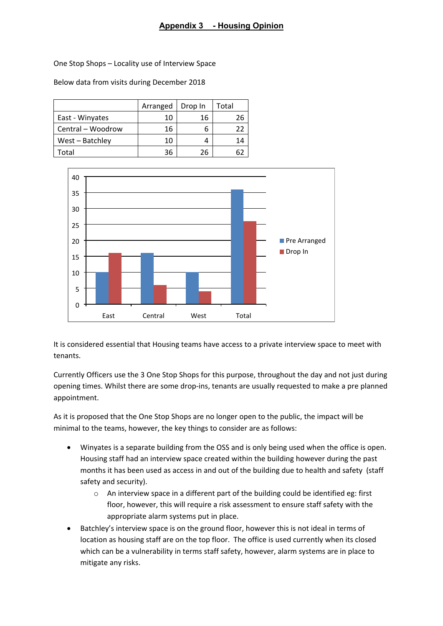## **Appendix 3 - Housing Opinion**

One Stop Shops – Locality use of Interview Space

Below data from visits during December 2018

|                   | Arranged | Drop In | Total |
|-------------------|----------|---------|-------|
| East - Winyates   | 10       | 16      | 26    |
| Central - Woodrow | 16       |         | 22    |
| West - Batchley   | 10       |         | 14    |
| Total             | 36       | 26      |       |



It is considered essential that Housing teams have access to a private interview space to meet with tenants.

Currently Officers use the 3 One Stop Shops for this purpose, throughout the day and not just during opening times. Whilst there are some drop-ins, tenants are usually requested to make a pre planned appointment.

As it is proposed that the One Stop Shops are no longer open to the public, the impact will be minimal to the teams, however, the key things to consider are as follows:

- Winyates is a separate building from the OSS and is only being used when the office is open. Housing staff had an interview space created within the building however during the past months it has been used as access in and out of the building due to health and safety (staff safety and security).
	- $\circ$  An interview space in a different part of the building could be identified eg: first floor, however, this will require a risk assessment to ensure staff safety with the appropriate alarm systems put in place.
- Batchley's interview space is on the ground floor, however this is not ideal in terms of location as housing staff are on the top floor. The office is used currently when its closed which can be a vulnerability in terms staff safety, however, alarm systems are in place to mitigate any risks.